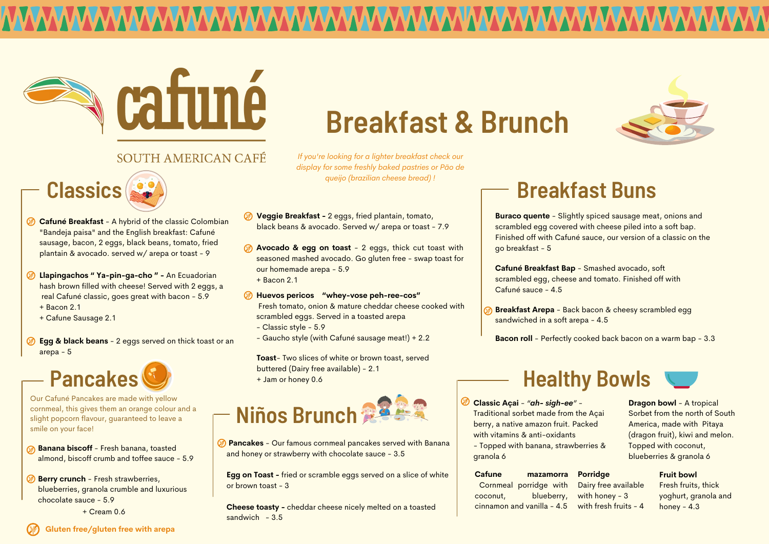



#### SOUTH AMERICAN CAFÉ

**Pancakes** - Our famous cornmeal pancakes served with Banana and honey or strawberry with chocolate sauce - 3.5

**Cheese toasty -** cheddar cheese nicely melted on a toasted sandwich  $-3.5$ 

**Egg on Toast -** fried or scramble eggs served on a slice of white or brown toast - 3

- **Banana biscoff** Fresh banana, toasted almond, biscoff crumb and toffee sauce - 5.9
- **Berry crunch** Fresh strawberries, blueberries, granola crumble and luxurious chocolate sauce - 5.9
- **Veggie Breakfast -** 2 eggs, fried plantain, tomato, black beans & avocado. Served w/ arepa or toast - 7.9
- **Avocado & egg on toast** 2 eggs, thick cut toast with seasoned mashed avocado. Go gluten free - swap toast for our homemade arepa - 5.9
	- + Bacon 2.1
- **Huevos pericos "whey-vose peh-ree-cos"** Fresh tomato, onion & mature cheddar cheese cooked with scrambled eggs. Served in a toasted arepa
	- Classic style 5.9
	- Gaucho style (with Cafuné sausage meat!) + 2.2

# **Breakfast & Brunch**

- **Cafuné Breakfast** A hybrid of the classic Colombian "Bandeja paisa" and the English breakfast: Cafuné sausage, bacon, 2 eggs, black beans, tomato, fried plantain & avocado. served w/ arepa or toast - 9
- **28 Llapingachos " Ya-pin-ga-cho " An Ecuadorian** hash brown filled with cheese! Served with 2 eggs, a real Cafuné classic, goes great with bacon - 5.9
	- + Bacon 2.1
	- + Cafune Sausage 2.1
- **Egg & black beans** 2 eggs served on thick toast or an arepa - 5

**Toast**- Two slices of white or brown toast, served





**Cafuné Breakfast Bap** - Smashed avocado, soft scrambled egg, cheese and tomato. Finished off with Cafuné sauce - 4.5

**Breakfast Arepa** - Back bacon & cheesy scrambled egg sandwiched in a soft arepa - 4.5

> Dairy free available with honey - 3 with fresh fruits -  $4$

**Fruit bowl** Fresh fruits, thick yoghurt, granola and honey  $-4.3$ 

Our Cafuné Pancakes are made with yellow cornmeal, this gives them an orange colour and a slight popcorn flavour, guaranteed to leave a smile on your face!



**Bacon roll** - Perfectly cooked back bacon on a warm bap - 3.3

**Buraco quente** - Slightly spiced sausage meat, onions and scrambled egg covered with cheese piled into a soft bap. Finished off with Cafuné sauce, our version of a classic on the go breakfast - 5

### **Breakfast Buns**

### **Healthy Bowls**

**Classic Açai** - *"ah- sigh-ee"* - Traditional sorbet made from the Açai berry, a native amazon fruit. Packed with vitamins & anti-oxidants - Topped with banana, strawberries & granola 6

**Dragon bowl** - A tropical Sorbet from the north of South America, made with Pitaya (dragon fruit), kiwi and melon. Topped with coconut, blueberries & granola 6

**Porridge**

| <b>Cafune</b> | mazamorra                  | F |
|---------------|----------------------------|---|
|               | Cornmeal porridge with     | L |
| coconut,      | blueberry,                 | V |
|               | cinnamon and vanilla - 4.5 | V |
|               |                            |   |

```
+ Cream 0.6
```
*If you're looking for a lighter breakfast check our display for some freshly baked pastries or Pão de queijo (brazilian cheese bread) !*

**Gluten free/gluten free with arepa**